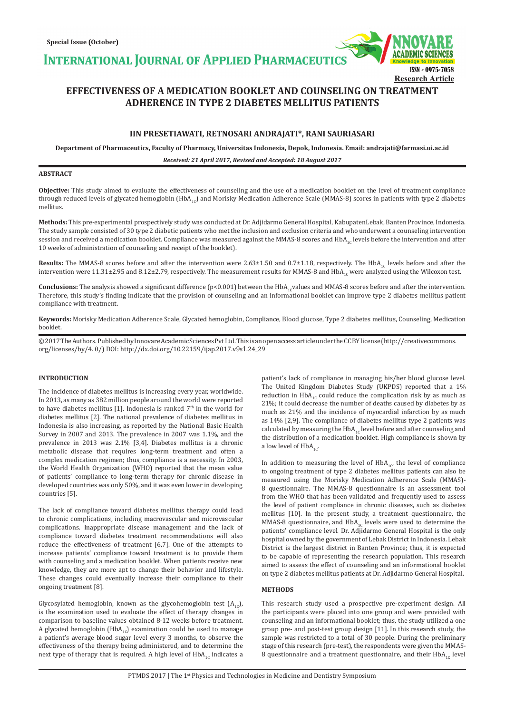**INTERNATIONAL JOURNAL OF APPLIED PHARMACEUTIC** 

# **EFFECTIVENESS OF A MEDICATION BOOKLET AND COUNSELING ON TREATMENT ADHERENCE IN TYPE 2 DIABETES MELLITUS PATIENTS**

## **IIN PRESETIAWATI, RETNOSARI ANDRAJATI\*, RANI SAURIASARI**

**Department of Pharmaceutics, Faculty of Pharmacy, Universitas Indonesia, Depok, Indonesia. Email: andrajati@farmasi.ui.ac.id**

*Received: 21 April 2017, Revised and Accepted: 18 August 2017*

## **ABSTRACT**

**Objective:** This study aimed to evaluate the effectiveness of counseling and the use of a medication booklet on the level of treatment compliance through reduced levels of glycated hemoglobin (HbA<sub>1c</sub>) and Morisky Medication Adherence Scale (MMAS-8) scores in patients with type 2 diabetes mellitus.

**Methods:** This pre-experimental prospectively study was conducted at Dr. Adjidarmo General Hospital, KabupatenLebak, Banten Province, Indonesia. The study sample consisted of 30 type 2 diabetic patients who met the inclusion and exclusion criteria and who underwent a counseling intervention session and received a medication booklet. Compliance was measured against the MMAS-8 scores and HbA<sub>1c</sub> levels before the intervention and after 10 weeks of administration of counseling and receipt of the booklet).

**Results:** The MMAS-8 scores before and after the intervention were  $2.63\pm1.50$  and  $0.7\pm1.18$ , respectively. The HbA<sub>1c</sub> levels before and after the intervention were 11.31±2.95 and 8.12±2.79, respectively. The measurement results for MMAS-8 and HbA<sub>1c</sub> were analyzed using the Wilcoxon test.

Conclusions: The analysis showed a significant difference (p<0.001) between the HbA<sub>1c</sub>values and MMAS-8 scores before and after the intervention. Therefore, this study's finding indicate that the provision of counseling and an informational booklet can improve type 2 diabetes mellitus patient compliance with treatment.

**Keywords:** Morisky Medication Adherence Scale, Glycated hemoglobin, Compliance, Blood glucose, Type 2 diabetes mellitus, Counseling, Medication booklet.

© 2017 The Authors. Published by Innovare Academic Sciences Pvt Ltd. This is an open access article under the CC BY license (http://creativecommons. org/licenses/by/4. 0/) DOI: http://dx.doi.org/10.22159/ijap.2017.v9s1.24\_29

## **INTRODUCTION**

The incidence of diabetes mellitus is increasing every year, worldwide. In 2013, as many as 382 million people around the world were reported to have diabetes mellitus [1]. Indonesia is ranked  $7<sup>th</sup>$  in the world for diabetes mellitus [2]. The national prevalence of diabetes mellitus in Indonesia is also increasing, as reported by the National Basic Health Survey in 2007 and 2013. The prevalence in 2007 was 1.1%, and the prevalence in 2013 was 2.1% [3,4]. Diabetes mellitus is a chronic metabolic disease that requires long-term treatment and often a complex medication regimen; thus, compliance is a necessity. In 2003, the World Health Organization (WHO) reported that the mean value of patients' compliance to long-term therapy for chronic disease in developed countries was only 50%, and it was even lower in developing countries [5].

The lack of compliance toward diabetes mellitus therapy could lead to chronic complications, including macrovascular and microvascular complications. Inappropriate disease management and the lack of compliance toward diabetes treatment recommendations will also reduce the effectiveness of treatment [6,7]. One of the attempts to increase patients' compliance toward treatment is to provide them with counseling and a medication booklet. When patients receive new knowledge, they are more apt to change their behavior and lifestyle. These changes could eventually increase their compliance to their ongoing treatment [8].

Glycosylated hemoglobin, known as the glycohemoglobin test  $(A_1, A_2)$ , is the examination used to evaluate the effect of therapy changes in comparison to baseline values obtained 8-12 weeks before treatment. A glycated hemoglobin (HbA<sub>1c</sub>) examination could be used to manage a patient's average blood sugar level every 3 months, to observe the effectiveness of the therapy being administered, and to determine the next type of therapy that is required. A high level of  $HbA_{1c}$  indicates a patient's lack of compliance in managing his/her blood glucose level. The United Kingdom Diabetes Study (UKPDS) reported that a 1% reduction in  $HbA_{1C}$  could reduce the complication risk by as much as 21%; it could decrease the number of deaths caused by diabetes by as much as 21% and the incidence of myocardial infarction by as much as 14% [2,9]. The compliance of diabetes mellitus type 2 patients was calculated by measuring the  $HbA_{1C}$  level before and after counseling and the distribution of a medication booklet. High compliance is shown by a low level of  $HbA_{1C}$ .

ISSN - 0975-7058

**Research Article**

In addition to measuring the level of  $HbA_{1C}$ , the level of compliance to ongoing treatment of type 2 diabetes mellitus patients can also be measured using the Morisky Medication Adherence Scale (MMAS)- 8 questionnaire. The MMAS-8 questionnaire is an assessment tool from the WHO that has been validated and frequently used to assess the level of patient compliance in chronic diseases, such as diabetes mellitus [10]. In the present study, a treatment questionnaire, the MMAS-8 questionnaire, and  $HbA_{1C}$  levels were used to determine the patients' compliance level. Dr. Adjidarmo General Hospital is the only hospital owned by the government of Lebak District in Indonesia. Lebak District is the largest district in Banten Province; thus, it is expected to be capable of representing the research population. This research aimed to assess the effect of counseling and an informational booklet on type 2 diabetes mellitus patients at Dr. Adjidarmo General Hospital.

#### **METHODS**

This research study used a prospective pre-experiment design. All the participants were placed into one group and were provided with counseling and an informational booklet; thus, the study utilized a one group pre- and post-test group design [11]. In this research study, the sample was restricted to a total of 30 people. During the preliminary stage of this research (pre-test), the respondents were given the MMAS-8 questionnaire and a treatment questionnaire, and their  $HbA_{1c}$  level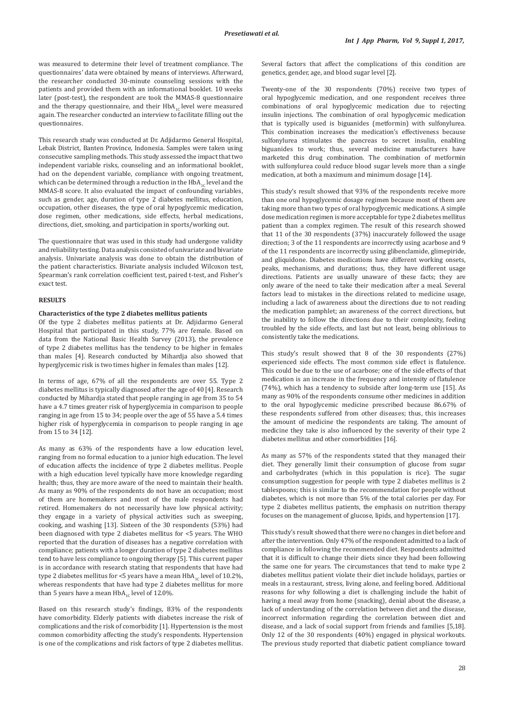was measured to determine their level of treatment compliance. The questionnaires' data were obtained by means of interviews. Afterward, the researcher conducted 30-minute counseling sessions with the patients and provided them with an informational booklet. 10 weeks later (post-test), the respondent are took the MMAS-8 questionnaire and the therapy questionnaire, and their  $HbA_{1C}$  level were measured again. The researcher conducted an interview to facilitate filling out the questionnaires.

This research study was conducted at Dr. Adjidarmo General Hospital, Lebak District, Banten Province, Indonesia. Samples were taken using consecutive sampling methods. This study assessed the impact that two independent variable risks, counseling and an informational booklet, had on the dependent variable, compliance with ongoing treatment, which can be determined through a reduction in the  $HbA_{1c}$  level and the MMAS-8 score. It also evaluated the impact of confounding variables, such as gender, age, duration of type 2 diabetes mellitus, education, occupation, other diseases, the type of oral hypoglycemic medication, dose regimen, other medications, side effects, herbal medications, directions, diet, smoking, and participation in sports/working out.

The questionnaire that was used in this study had undergone validity and reliability testing. Data analysis consisted of univariate and bivariate analysis. Univariate analysis was done to obtain the distribution of the patient characteristics. Bivariate analysis included Wilcoxon test, Spearman's rank correlation coefficient test, paired t-test, and Fisher's exact test.

## **RESULTS**

#### **Characteristics of the type 2 diabetes mellitus patients**

Of the type 2 diabetes mellitus patients at Dr. Adjidarmo General Hospital that participated in this study, 77% are female. Based on data from the National Basic Health Survey (2013), the prevalence of type 2 diabetes mellitus has the tendency to be higher in females than males [4]. Research conducted by Mihardja also showed that hyperglycemic risk is two times higher in females than males [12].

In terms of age, 67% of all the respondents are over 55. Type 2 diabetes mellitus is typically diagnosed after the age of 40 [4]. Research conducted by Mihardja stated that people ranging in age from 35 to 54 have a 4.7 times greater risk of hyperglycemia in comparison to people ranging in age from 15 to 34; people over the age of 55 have a 5.4 times higher risk of hyperglycemia in comparison to people ranging in age from 15 to 34 [12].

As many as 63% of the respondents have a low education level, ranging from no formal education to a junior high education. The level of education affects the incidence of type 2 diabetes mellitus. People with a high education level typically have more knowledge regarding health; thus, they are more aware of the need to maintain their health. As many as 90% of the respondents do not have an occupation; most of them are homemakers and most of the male respondents had retired. Homemakers do not necessarily have low physical activity; they engage in a variety of physical activities such as sweeping, cooking, and washing [13]. Sixteen of the 30 respondents (53%) had been diagnosed with type 2 diabetes mellitus for <5 years. The WHO reported that the duration of diseases has a negative correlation with compliance; patients with a longer duration of type 2 diabetes mellitus tend to have less compliance to ongoing therapy [5]. This current paper is in accordance with research stating that respondents that have had type 2 diabetes mellitus for <5 years have a mean  $HbA_{1c}$  level of 10.2%, whereas respondents that have had type 2 diabetes mellitus for more than 5 years have a mean  $HbA_{1c}$  level of 12.0%.

Based on this research study's findings, 83% of the respondents have comorbidity. Elderly patients with diabetes increase the risk of complications and the risk of comorbidity [1]. Hypertension is the most common comorbidity affecting the study's respondents. Hypertension is one of the complications and risk factors of type 2 diabetes mellitus.

Several factors that affect the complications of this condition are genetics, gender, age, and blood sugar level [2].

Twenty-one of the 30 respondents (70%) receive two types of oral hypoglycemic medication, and one respondent receives three combinations of oral hypoglycemic medication due to rejecting insulin injections. The combination of oral hypoglycemic medication that is typically used is biguanides (metformin) with sulfonylurea. This combination increases the medication's effectiveness because sulfonylurea stimulates the pancreas to secret insulin, enabling biguanides to work; thus, several medicine manufacturers have marketed this drug combination. The combination of metformin with sulfonylurea could reduce blood sugar levels more than a single medication, at both a maximum and minimum dosage [14].

This study's result showed that 93% of the respondents receive more than one oral hypoglycemic dosage regimen because most of them are taking more than two types of oral hypoglycemic medications. A simple dose medication regimen is more acceptable for type 2 diabetes mellitus patient than a complex regimen. The result of this research showed that 11 of the 30 respondents (37%) inaccurately followed the usage direction; 3 of the 11 respondents are incorrectly using acarbose and 9 of the 11 respondents are incorrectly using glibenclamide, glimepiride, and gliquidone. Diabetes medications have different working onsets, peaks, mechanisms, and durations; thus, they have different usage directions. Patients are usually unaware of these facts; they are only aware of the need to take their medication after a meal. Several factors lead to mistakes in the directions related to medicine usage, including a lack of awareness about the directions due to not reading the medication pamphlet; an awareness of the correct directions, but the inability to follow the directions due to their complexity, feeling troubled by the side effects, and last but not least, being oblivious to consistently take the medications.

This study's result showed that 8 of the 30 respondents (27%) experienced side effects. The most common side effect is flatulence. This could be due to the use of acarbose; one of the side effects of that medication is an increase in the frequency and intensity of flatulence (74%), which has a tendency to subside after long-term use [15]. As many as 90% of the respondents consume other medicines in addition to the oral hypoglycemic medicine prescribed because 86.67% of these respondents suffered from other diseases; thus, this increases the amount of medicine the respondents are taking. The amount of medicine they take is also influenced by the severity of their type 2 diabetes mellitus and other comorbidities [16].

As many as 57% of the respondents stated that they managed their diet. They generally limit their consumption of glucose from sugar and carbohydrates (which in this population is rice). The sugar consumption suggestion for people with type 2 diabetes mellitus is 2 tablespoons; this is similar to the recommendation for people without diabetes, which is not more than 5% of the total calories per day. For type 2 diabetes mellitus patients, the emphasis on nutrition therapy focuses on the management of glucose, lipids, and hypertension [17].

This study's result showed that there were no changes in diet before and after the intervention. Only 47% of the respondent admitted to a lack of compliance in following the recommended diet. Respondents admitted that it is difficult to change their diets since they had been following the same one for years. The circumstances that tend to make type 2 diabetes mellitus patient violate their diet include holidays, parties or meals in a restaurant, stress, living alone, and feeling bored. Additional reasons for why following a diet is challenging include the habit of having a meal away from home (snacking), denial about the disease, a lack of understanding of the correlation between diet and the disease, incorrect information regarding the correlation between diet and disease, and a lack of social support from friends and families [5,18]. Only 12 of the 30 respondents (40%) engaged in physical workouts. The previous study reported that diabetic patient compliance toward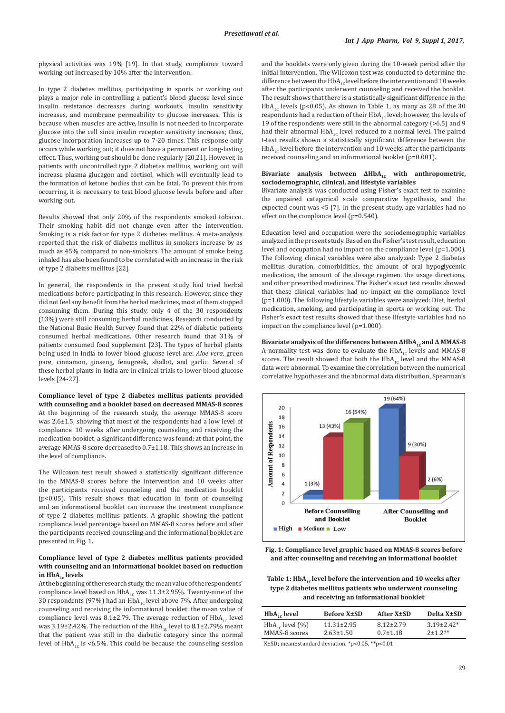physical activities was 19% [19]. In that study, compliance toward working out increased by 10% after the intervention.

In type 2 diabetes mellitus, participating in sports or working out plays a major role in controlling a patient's blood glucose level since insulin resistance decreases during workouts, insulin sensitivity increases, and membrane permeability to glucose increases. This is because when muscles are active, insulin is not needed to incorporate glucose into the cell since insulin receptor sensitivity increases; thus, glucose incorporation increases up to 7-20 times. This response only occurs while working out; it does not have a permanent or long-lasting effect. Thus, working out should be done regularly [20,21]. However, in patients with uncontrolled type 2 diabetes mellitus, working out will increase plasma glucagon and cortisol, which will eventually lead to the formation of ketone bodies that can be fatal. To prevent this from occurring, it is necessary to test blood glucose levels before and after working out.

Results showed that only 20% of the respondents smoked tobacco. Their smoking habit did not change even after the intervention. Smoking is a risk factor for type 2 diabetes mellitus. A meta-analysis reported that the risk of diabetes mellitus in smokers increase by as much as 45% compared to non-smokers. The amount of smoke being inhaled has also been found to be correlated with an increase in the risk of type 2 diabetes mellitus [22].

In general, the respondents in the present study had tried herbal medications before participating in this research. However, since they did not feel any benefit from the herbal medicines, most of them stopped consuming them. During this study, only 4 of the 30 respondents (13%) were still consuming herbal medicines. Research conducted by the National Basic Health Survey found that 22% of diabetic patients consumed herbal medications. Other research found that 31% of patients consumed food supplement [23]. The types of herbal plants being used in India to lower blood glucose level are: *Aloe vera*, green pare, cinnamon, ginseng, fenugreek, shallot, and garlic. Several of these herbal plants in India are in clinical trials to lower blood glucose levels [24-27].

**Compliance level of type 2 diabetes mellitus patients provided with counseling and a booklet based on decreased MMAS-8 scores** At the beginning of the research study, the average MMAS-8 score was 2.6±1.5, showing that most of the respondents had a low level of compliance. 10 weeks after undergoing counseling and receiving the medication booklet, a significant difference was found; at that point, the average MMAS-8 score decreased to 0.7±1.18. This shows an increase in the level of compliance.

The Wilcoxon test result showed a statistically significant difference in the MMAS-8 scores before the intervention and 10 weeks after the participants received counseling and the medication booklet (p<0.05). This result shows that education in form of counseling and an informational booklet can increase the treatment compliance of type 2 diabetes mellitus patients. A graphic showing the patient compliance level percentage based on MMAS-8 scores before and after the participants received counseling and the informational booklet are presented in Fig. 1.

#### **Compliance level of type 2 diabetes mellitus patients provided with counseling and an informational booklet based on reduction**  in HbA<sub>1c</sub> levels

At the beginning of the research study, the mean value of the respondents' compliance level based on  $HbA_{1C}$  was  $11.3\pm 2.95$ %. Twenty-nine of the 30 respondents (97%) had an  $HbA_{1c}$  level above 7%. After undergoing counseling and receiving the informational booklet, the mean value of compliance level was  $8.1\pm2.79$ . The average reduction of HbA<sub>1c</sub> level was 3.19 $\pm$ 2.42%. The reduction of the HbA<sub>1C</sub> level to 8.1 $\pm$ 2.79% meant that the patient was still in the diabetic category since the normal level of  $HbA_{1c}$  is <6.5%. This could be because the counseling session

and the booklets were only given during the 10-week period after the initial intervention. The Wilcoxon test was conducted to determine the difference between the  $HbA_{1c}$  level before the intervention and 10 weeks after the participants underwent counseling and received the booklet. The result shows that there is a statistically significant difference in the HbA<sub>1C</sub> levels (p<0.05). As shown in Table 1, as many as 28 of the 30 respondents had a reduction of their  $HbA_{1c}$  level; however, the levels of 19 of the respondents were still in the abnormal category (>6.5) and 9 had their abnormal  $HbA_{1C}$  level reduced to a normal level. The paired t-test results shown a statistically significant difference between the  $HbA_{1c}$  level before the intervention and 10 weeks after the participants received counseling and an informational booklet (p=0.001).

#### **Bivariate analysis between ΔHbA<sub>1C</sub>** with anthropometric, **sociodemographic, clinical, and lifestyle variables**

Bivariate analysis was conducted using Fisher's exact test to examine the unpaired categorical scale comparative hypothesis, and the expected count was <5 [7]. In the present study, age variables had no effect on the compliance level (p=0.540).

Education level and occupation were the sociodemographic variables analyzed in the present study. Based on the Fisher's test result, education level and occupation had no impact on the compliance level (p=1.000). The following clinical variables were also analyzed: Type 2 diabetes mellitus duration, comorbidities, the amount of oral hypoglycemic medication, the amount of the dosage regimen, the usage directions, and other prescribed medicines. The Fisher's exact test results showed that these clinical variables had no impact on the compliance level (p=1.000). The following lifestyle variables were analyzed: Diet, herbal medication, smoking, and participating in sports or working out. The Fisher's exact test results showed that these lifestyle variables had no impact on the compliance level (p=1.000).

**Bivariate analysis of the differences between ΔHbA**<sub>1c</sub> and Δ MMAS-8 A normality test was done to evaluate the  $HbA_{1c}$  levels and MMAS-8 scores. The result showed that both the  $HbA_{1c}$  level and the MMAS-8 data were abnormal. To examine the correlation between the numerical correlative hypotheses and the abnormal data distribution, Spearman's





Table 1: HbA<sub>1c</sub> level before the intervention and 10 weeks after **type 2 diabetes mellitus patients who underwent counseling and receiving an informational booklet**

| $HbA_{1c}$ level         | <b>Before X±SD</b> | After X±SD      | Delta X±SD     |
|--------------------------|--------------------|-----------------|----------------|
| $HbA_{1c}$ level $(\% )$ | $11.31 \pm 2.95$   | $8.12 \pm 2.79$ | $3.19\pm2.42*$ |
| MMAS-8 scores            | $2.63 \pm 1.50$    | $0.7 \pm 1.18$  | $2+1.2**$      |

X±SD; mean±standard deviation. \*p<0.05, \*\*p<0.01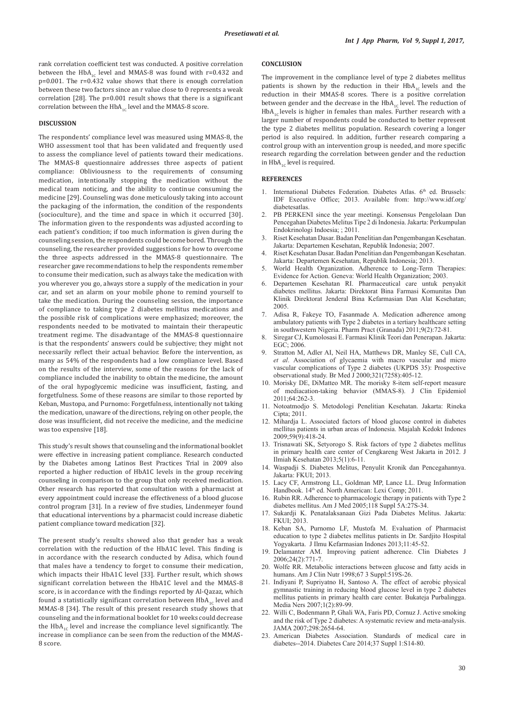rank correlation coefficient test was conducted. A positive correlation between the HbA<sub>1c</sub> level and MMAS-8 was found with  $r=0.432$  and  $p=0.001$ . The  $r=0.432$  value shows that there is enough correlation between these two factors since an r value close to 0 represents a weak correlation [28]. The p=0.001 result shows that there is a significant correlation between the  $HbA_{1C}$  level and the MMAS-8 score.

#### **DISCUSSION**

The respondents' compliance level was measured using MMAS-8, the WHO assessment tool that has been validated and frequently used to assess the compliance level of patients toward their medications. The MMAS-8 questionnaire addresses three aspects of patient compliance: Obliviousness to the requirements of consuming medication, intentionally stopping the medication without the medical team noticing, and the ability to continue consuming the medicine [29]. Counseling was done meticulously taking into account the packaging of the information, the condition of the respondents (socioculture), and the time and space in which it occurred [30]. The information given to the respondents was adjusted according to each patient's condition; if too much information is given during the counseling session, the respondents could become bored. Through the counseling, the researcher provided suggestions for how to overcome the three aspects addressed in the MMAS-8 questionnaire. The researcher gave recommendations to help the respondents remember to consume their medication, such as always take the medication with you wherever you go, always store a supply of the medication in your car, and set an alarm on your mobile phone to remind yourself to take the medication. During the counseling session, the importance of compliance to taking type 2 diabetes mellitus medications and the possible risk of complications were emphasized; moreover, the respondents needed to be motivated to maintain their therapeutic treatment regime. The disadvantage of the MMAS-8 questionnaire is that the respondents' answers could be subjective; they might not necessarily reflect their actual behavior. Before the intervention, as many as 54% of the respondents had a low compliance level. Based on the results of the interview, some of the reasons for the lack of compliance included the inability to obtain the medicine, the amount of the oral hypoglycemic medicine was insufficient, fasting, and forgetfulness. Some of these reasons are similar to those reported by Keban, Mustopa, and Purnomo: Forgetfulness, intentionally not taking the medication, unaware of the directions, relying on other people, the dose was insufficient, did not receive the medicine, and the medicine was too expensive [18].

This study's result shows that counseling and the informational booklet were effective in increasing patient compliance. Research conducted by the Diabetes among Latinos Best Practices Trial in 2009 also reported a higher reduction of HbA1C levels in the group receiving counseling in comparison to the group that only received medication. Other research has reported that consultation with a pharmacist at every appointment could increase the effectiveness of a blood glucose control program [31]. In a review of five studies, Lindenmeyer found that educational interventions by a pharmacist could increase diabetic patient compliance toward medication [32].

The present study's results showed also that gender has a weak correlation with the reduction of the HbA1C level. This finding is in accordance with the research conducted by Adisa, which found that males have a tendency to forget to consume their medication, which impacts their HbA1C level [33]. Further result, which shows significant correlation between the HbA1C level and the MMAS-8 score, is in accordance with the findings reported by Al-Qazaz, which found a statistically significant correlation between  $HbA_{1c}$  level and MMAS-8 [34]. The result of this present research study shows that counseling and the informational booklet for 10 weeks could decrease the  $HbA_{1c}$  level and increase the compliance level significantly. The increase in compliance can be seen from the reduction of the MMAS-8 score.

#### **CONCLUSION**

The improvement in the compliance level of type 2 diabetes mellitus patients is shown by the reduction in their  $HbA_{1C}$  levels and the reduction in their MMAS-8 scores. There is a positive correlation between gender and the decrease in the  $HbA_{1c}$  level. The reduction of  $HbA_{1c}$  levels is higher in females than males. Further research with a larger number of respondents could be conducted to better represent the type 2 diabetes mellitus population. Research covering a longer period is also required. In addition, further research comparing a control group with an intervention group is needed, and more specific research regarding the correlation between gender and the reduction in  $HbA_{1c}$  level is required.

#### **REFERENCES**

- 1. International Diabetes Federation. Diabetes Atlas. 6<sup>th</sup> ed. Brussels: IDF Executive Office; 2013. Available from: http://www.idf.org/ diabetesatlas.
- 2. PB PERKENI since the year meetingi. Konsensus Pengelolaan Dan Pencegahan Diabetes Melitus Tipe 2 di Indonesia. Jakarta: Perkumpulan Endokrinologi Indoesia; ; 2011.
- 3. Riset Kesehatan Dasar. Badan Penelitian dan Pengembangan Kesehatan. Jakarta: Departemen Kesehatan, Republik Indonesia; 2007.
- 4. Riset Kesehatan Dasar. Badan Penelitian dan Pengembangan Kesehatan. Jakarta: Departemen Kesehatan, Republik Indonesia; 2013.
- 5. World Health Organization. Adherence to Long-Term Therapies: Evidence for Action. Geneva: World Health Organization; 2003.
- 6. Departemen Kesehatan RI. Pharmaceutical care untuk penyakit diabetes mellitus. Jakarta: Direktorat Bina Farmasi Komunitas Dan Klinik Direktorat Jenderal Bina Kefarmasian Dan Alat Kesehatan; 2005.
- 7. Adisa R, Fakeye TO, Fasanmade A. Medication adherence among ambulatory patients with Type 2 diabetes in a tertiary healthcare setting in southwestern Nigeria. Pharm Pract (Granada) 2011;9(2):72-81.
- 8. Siregar CJ, Kumolosasi E. Farmasi Klinik Teori dan Penerapan. Jakarta: EGC; 2006.
- 9. Stratton M, Adler AI, Neil HA, Matthews DR, Manley SE, Cull CA, *et al*. Association of glycaemia with macro vascular and micro vascular complications of Type 2 diabetes (UKPDS 35): Prospective observational study. Br Med J 2000;321(7258):405-12.
- 10. Morisky DE, DiMatteo MR. The morisky 8-item self-report measure of mediacation-taking behavior (MMAS-8). J Clin Epidemiol 2011;64:262-3.
- 11. Notoatmodjo S. Metodologi Penelitian Kesehatan. Jakarta: Rineka Cipta; 2011.
- 12. Mihardja L. Associated factors of blood glucose control in diabetes mellitus patients in urban areas of Indonesia. Majalah Kedokt Indones 2009;59(9):418-24.
- 13. Trisnawati SK, Setyorogo S. Risk factors of type 2 diabetes mellitus in primary health care center of Cengkareng West Jakarta in 2012. J Ilmiah Kesehatan 2013;5(1):6-11.
- 14. Waspadji S. Diabetes Melitus, Penyulit Kronik dan Pencegahannya. Jakarta: FKUI; 2013.
- 15. Lacy CF, Armstrong LL, Goldman MP, Lance LL. Drug Information Handbook. 14<sup>th</sup> ed. North American: Lexi Comp; 2011.
- Rubin RR. Adherence to pharmacologic therapy in patients with Type 2 diabetes mellitus. Am J Med 2005;118 Suppl 5A:27S-34.
- 17. Sukardji K. Penatalaksanaan Gizi Pada Diabetes Melitus. Jakarta: FKUI; 2013.
- 18. Keban SA, Purnomo LF, Mustofa M. Evaluation of Pharmacist education to type 2 diabetes mellitus patients in Dr. Sardjito Hospital Yogyakarta. J Ilmu Kefarmasian Indones 2013;11:45-52.
- 19. Delamanter AM. Improving patient adherence. Clin Diabetes J 2006;24(2):771-7.
- 20. Wolfe RR. Metabolic interactions between glucose and fatty acids in humans. Am J Clin Nutr 1998;67 3 Suppl:519S-26.
- 21. Indiyani P, Supriyatno H, Santoso A. The effect of aerobic physical gymnastic training in reducing blood glucose level in type 2 diabetes mellitus patients in primary health care center. Bukateja Purbalingga. Media Ners 2007;1(2):89-99.
- 22. Willi C, Bodenmann P, Ghali WA, Faris PD, Cornuz J. Active smoking and the risk of Type 2 diabetes: A systematic review and meta-analysis. JAMA 2007;298:2654-64.
- 23. American Diabetes Association. Standards of medical care in diabetes--2014. Diabetes Care 2014;37 Suppl 1:S14-80.